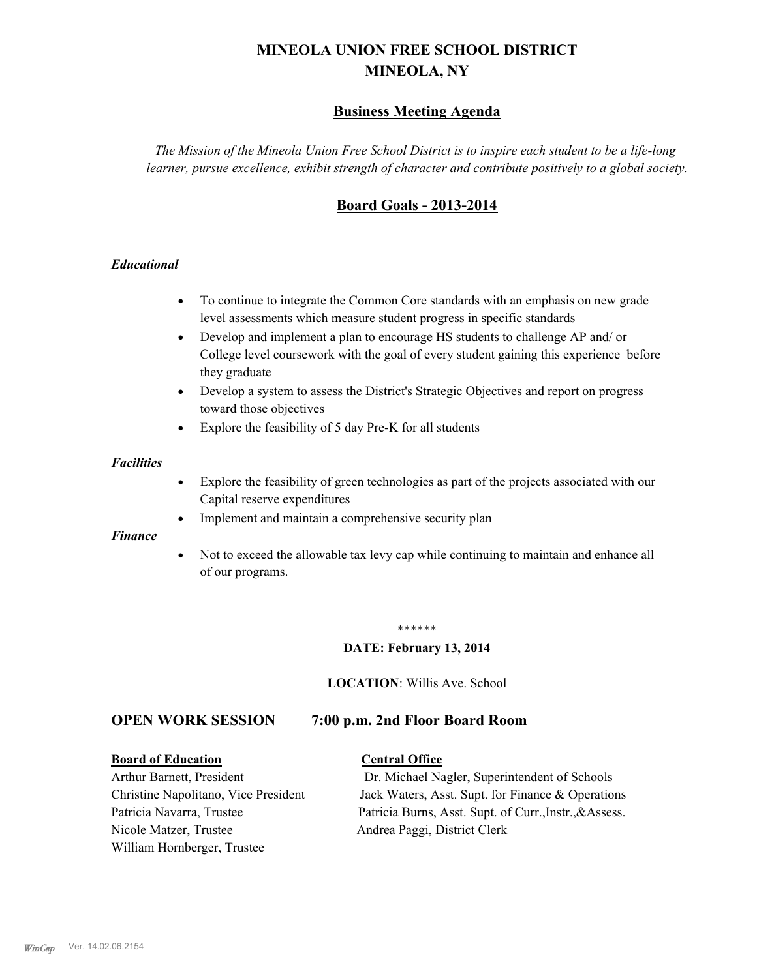# **MINEOLA UNION FREE SCHOOL DISTRICT MINEOLA, NY**

# **Business Meeting Agenda**

*The Mission of the Mineola Union Free School District is to inspire each student to be a life-long learner, pursue excellence, exhibit strength of character and contribute positively to a global society.*

# **Board Goals - 2013-2014**

#### *Educational*

- · To continue to integrate the Common Core standards with an emphasis on new grade level assessments which measure student progress in specific standards
- · Develop and implement a plan to encourage HS students to challenge AP and/ or College level coursework with the goal of every student gaining this experience before they graduate
- Develop a system to assess the District's Strategic Objectives and report on progress toward those objectives
- · Explore the feasibility of 5 day Pre-K for all students

#### *Facilities*

- · Explore the feasibility of green technologies as part of the projects associated with our Capital reserve expenditures
- Implement and maintain a comprehensive security plan

#### *Finance*

• Not to exceed the allowable tax levy cap while continuing to maintain and enhance all of our programs.

#### \*\*\*\*\*\*

#### **DATE: February 13, 2014**

**LOCATION**: Willis Ave. School

# **OPEN WORK SESSION 7:00 p.m. 2nd Floor Board Room**

#### **Board of Education Central Office**

Nicole Matzer, Trustee Andrea Paggi, District Clerk William Hornberger, Trustee

Arthur Barnett, President Dr. Michael Nagler, Superintendent of Schools Christine Napolitano, Vice President Jack Waters, Asst. Supt. for Finance & Operations Patricia Navarra, Trustee Patricia Burns, Asst. Supt. of Curr., Instr., &Assess.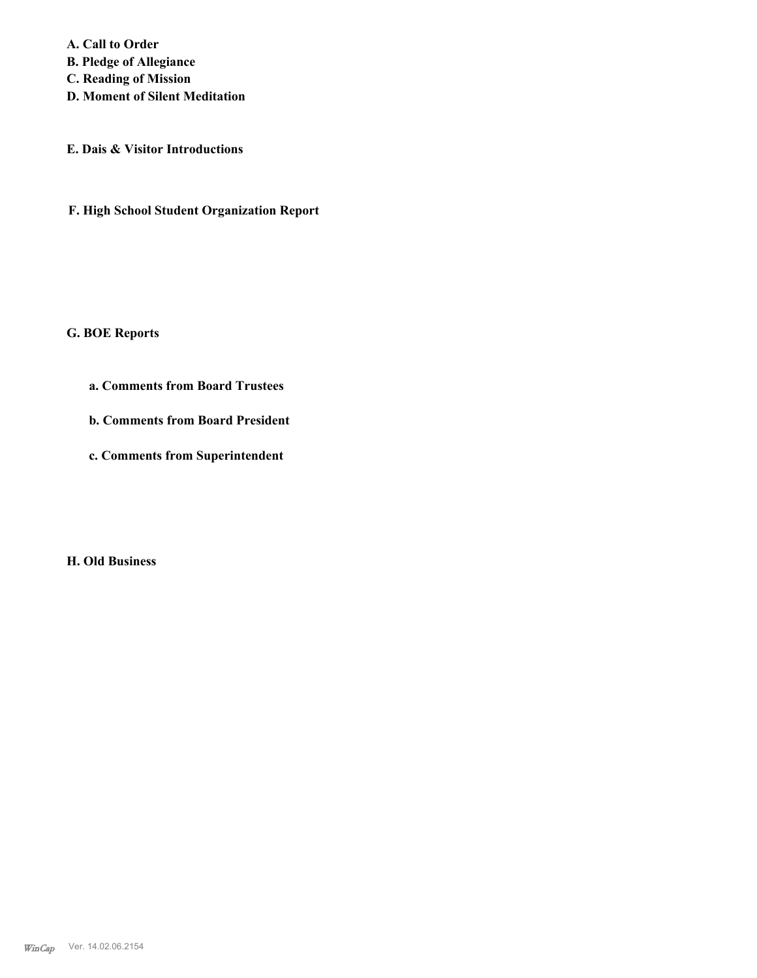**A. Call to Order B. Pledge of Allegiance C. Reading of Mission D. Moment of Silent Meditation**

**E. Dais & Visitor Introductions**

**F. High School Student Organization Report**

**G. BOE Reports**

**a. Comments from Board Trustees**

**b. Comments from Board President**

**c. Comments from Superintendent**

**H. Old Business**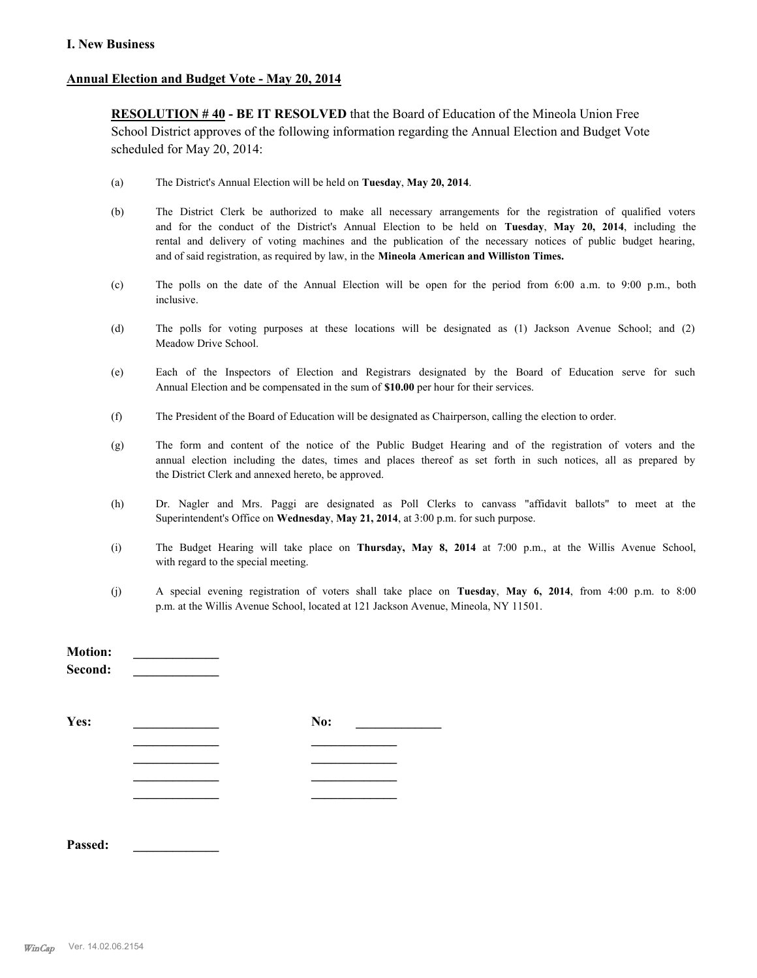#### **I. New Business**

#### **Annual Election and Budget Vote - May 20, 2014**

**RESOLUTION # 40 - BE IT RESOLVED** that the Board of Education of the Mineola Union Free School District approves of the following information regarding the Annual Election and Budget Vote scheduled for May 20, 2014:

- (a) The District's Annual Election will be held on **Tuesday**, **May 20, 2014**.
- (b) The District Clerk be authorized to make all necessary arrangements for the registration of qualified voters and for the conduct of the District's Annual Election to be held on **Tuesday**, **May 20, 2014**, including the rental and delivery of voting machines and the publication of the necessary notices of public budget hearing, and of said registration, as required by law, in the **Mineola American and Williston Times.**
- (c) The polls on the date of the Annual Election will be open for the period from 6:00 a.m. to 9:00 p.m., both inclusive.
- (d) The polls for voting purposes at these locations will be designated as (1) Jackson Avenue School; and (2) Meadow Drive School.
- (e) Each of the Inspectors of Election and Registrars designated by the Board of Education serve for such Annual Election and be compensated in the sum of **\$10.00** per hour for their services.
- (f) The President of the Board of Education will be designated as Chairperson, calling the election to order.
- (g) The form and content of the notice of the Public Budget Hearing and of the registration of voters and the annual election including the dates, times and places thereof as set forth in such notices, all as prepared by the District Clerk and annexed hereto, be approved.
- (h) Dr. Nagler and Mrs. Paggi are designated as Poll Clerks to canvass "affidavit ballots" to meet at the Superintendent's Office on **Wednesday**, **May 21, 2014**, at 3:00 p.m. for such purpose.
- (i) The Budget Hearing will take place on **Thursday, May 8, 2014** at 7:00 p.m., at the Willis Avenue School, with regard to the special meeting.
- (j) A special evening registration of voters shall take place on **Tuesday**, **May 6, 2014**, from 4:00 p.m. to 8:00 p.m. at the Willis Avenue School, located at 121 Jackson Avenue, Mineola, NY 11501.

| <b>Motion:</b><br>Second: |     |
|---------------------------|-----|
| Yes:                      | No: |
|                           |     |
|                           |     |
|                           |     |
|                           |     |
|                           |     |

**Passed: \_\_\_\_\_\_\_\_\_\_\_\_\_**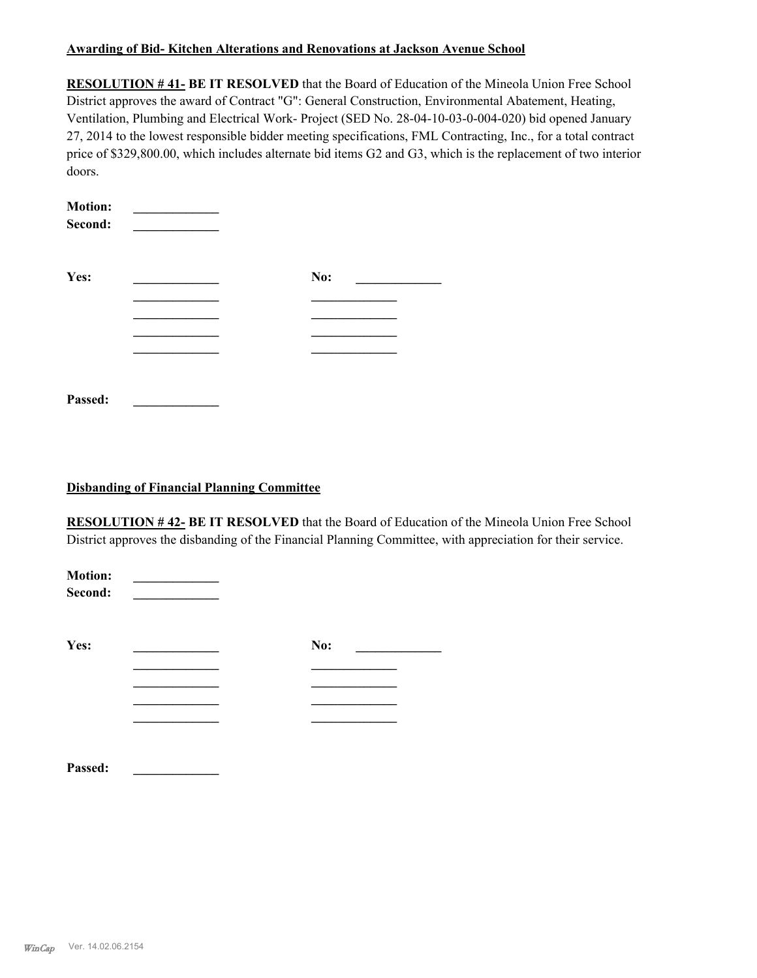#### **Awarding of Bid- Kitchen Alterations and Renovations at Jackson Avenue School**

**RESOLUTION # 41- BE IT RESOLVED** that the Board of Education of the Mineola Union Free School District approves the award of Contract "G": General Construction, Environmental Abatement, Heating, Ventilation, Plumbing and Electrical Work- Project (SED No. 28-04-10-03-0-004-020) bid opened January 27, 2014 to the lowest responsible bidder meeting specifications, FML Contracting, Inc., for a total contract price of \$329,800.00, which includes alternate bid items G2 and G3, which is the replacement of two interior doors.

| <b>Motion:</b><br>Second: |     |  |
|---------------------------|-----|--|
| Yes:                      | No: |  |
|                           |     |  |
|                           |     |  |
|                           |     |  |
|                           |     |  |
|                           |     |  |
| Passed:                   |     |  |

#### **Disbanding of Financial Planning Committee**

**RESOLUTION # 42- BE IT RESOLVED** that the Board of Education of the Mineola Union Free School District approves the disbanding of the Financial Planning Committee, with appreciation for their service.

| <b>Motion:</b><br>Second: |     |  |
|---------------------------|-----|--|
| Yes:                      | No: |  |
|                           |     |  |
|                           |     |  |
|                           |     |  |
| Passed:                   |     |  |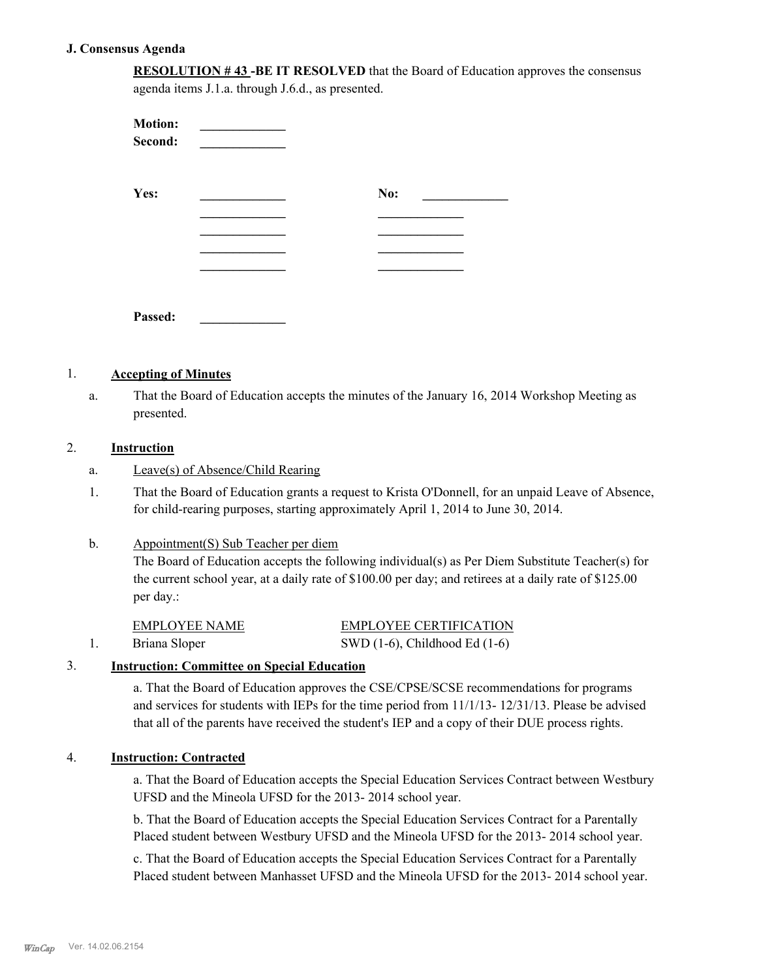#### **J. Consensus Agenda**

**RESOLUTION # 43 -BE IT RESOLVED** that the Board of Education approves the consensus agenda items J.1.a. through J.6.d., as presented.

| <b>Motion:</b><br>Second: |     |
|---------------------------|-----|
| Yes:                      | No: |
|                           |     |
|                           |     |
|                           |     |
| Passed:                   |     |

#### 1. **Accepting of Minutes**

That the Board of Education accepts the minutes of the January 16, 2014 Workshop Meeting as presented. a.

## 2. **Instruction**

- a. Leave(s) of Absence/Child Rearing
- That the Board of Education grants a request to Krista O'Donnell, for an unpaid Leave of Absence, for child-rearing purposes, starting approximately April 1, 2014 to June 30, 2014. 1.

#### Appointment(S) Sub Teacher per diem b.

The Board of Education accepts the following individual(s) as Per Diem Substitute Teacher(s) for the current school year, at a daily rate of \$100.00 per day; and retirees at a daily rate of \$125.00 per day.:

| EMPLOYEE NAME | <b>EMPLOYEE CERTIFICATION</b>      |
|---------------|------------------------------------|
| Briana Sloper | SWD $(1-6)$ , Childhood Ed $(1-6)$ |

### 3. **Instruction: Committee on Special Education**

a. That the Board of Education approves the CSE/CPSE/SCSE recommendations for programs and services for students with IEPs for the time period from 11/1/13- 12/31/13. Please be advised that all of the parents have received the student's IEP and a copy of their DUE process rights.

#### 4. **Instruction: Contracted**

a. That the Board of Education accepts the Special Education Services Contract between Westbury UFSD and the Mineola UFSD for the 2013- 2014 school year.

b. That the Board of Education accepts the Special Education Services Contract for a Parentally Placed student between Westbury UFSD and the Mineola UFSD for the 2013- 2014 school year.

c. That the Board of Education accepts the Special Education Services Contract for a Parentally Placed student between Manhasset UFSD and the Mineola UFSD for the 2013- 2014 school year.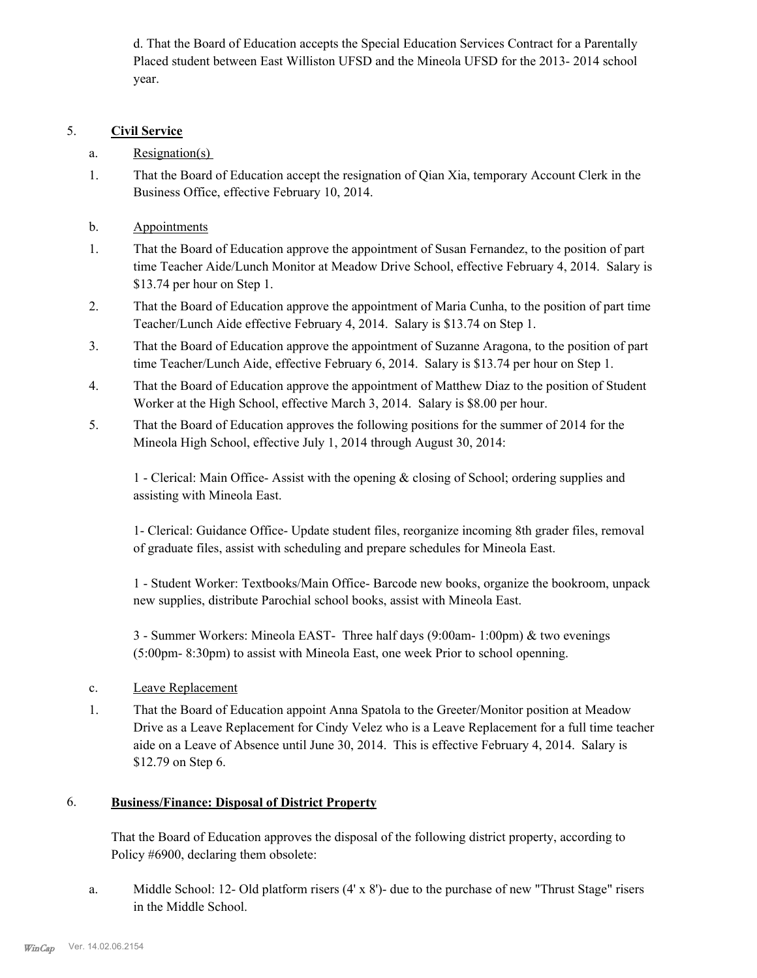d. That the Board of Education accepts the Special Education Services Contract for a Parentally Placed student between East Williston UFSD and the Mineola UFSD for the 2013- 2014 school year.

## 5. **Civil Service**

- a. Resignation(s)
- That the Board of Education accept the resignation of Qian Xia, temporary Account Clerk in the Business Office, effective February 10, 2014. 1.
- b. Appointments
- That the Board of Education approve the appointment of Susan Fernandez, to the position of part time Teacher Aide/Lunch Monitor at Meadow Drive School, effective February 4, 2014. Salary is \$13.74 per hour on Step 1. 1.
- That the Board of Education approve the appointment of Maria Cunha, to the position of part time Teacher/Lunch Aide effective February 4, 2014. Salary is \$13.74 on Step 1. 2.
- That the Board of Education approve the appointment of Suzanne Aragona, to the position of part time Teacher/Lunch Aide, effective February 6, 2014. Salary is \$13.74 per hour on Step 1. 3.
- That the Board of Education approve the appointment of Matthew Diaz to the position of Student Worker at the High School, effective March 3, 2014. Salary is \$8.00 per hour. 4.
- That the Board of Education approves the following positions for the summer of 2014 for the Mineola High School, effective July 1, 2014 through August 30, 2014: 5.

1 - Clerical: Main Office- Assist with the opening & closing of School; ordering supplies and assisting with Mineola East.

1- Clerical: Guidance Office- Update student files, reorganize incoming 8th grader files, removal of graduate files, assist with scheduling and prepare schedules for Mineola East.

1 - Student Worker: Textbooks/Main Office- Barcode new books, organize the bookroom, unpack new supplies, distribute Parochial school books, assist with Mineola East.

3 - Summer Workers: Mineola EAST- Three half days (9:00am- 1:00pm) & two evenings (5:00pm- 8:30pm) to assist with Mineola East, one week Prior to school openning.

- c. Leave Replacement
- That the Board of Education appoint Anna Spatola to the Greeter/Monitor position at Meadow Drive as a Leave Replacement for Cindy Velez who is a Leave Replacement for a full time teacher aide on a Leave of Absence until June 30, 2014. This is effective February 4, 2014. Salary is \$12.79 on Step 6. 1.

#### **Business/Finance: Disposal of District Property** 6.

That the Board of Education approves the disposal of the following district property, according to Policy #6900, declaring them obsolete:

Middle School: 12- Old platform risers (4' x 8')- due to the purchase of new "Thrust Stage" risers in the Middle School. a.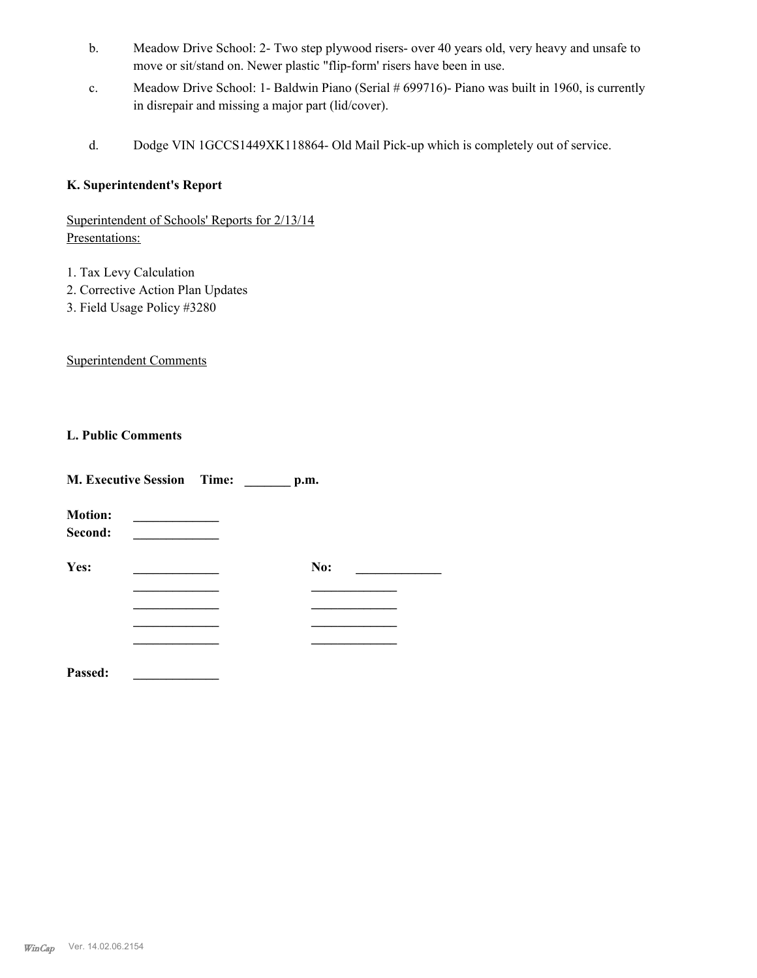- Meadow Drive School: 2- Two step plywood risers- over 40 years old, very heavy and unsafe to move or sit/stand on. Newer plastic "flip-form' risers have been in use. b.
- Meadow Drive School: 1- Baldwin Piano (Serial # 699716)- Piano was built in 1960, is currently in disrepair and missing a major part (lid/cover). c.
- d. Dodge VIN 1GCCS1449XK118864- Old Mail Pick-up which is completely out of service.

## **K. Superintendent's Report**

Superintendent of Schools' Reports for 2/13/14 Presentations:

- 1. Tax Levy Calculation
- 2. Corrective Action Plan Updates
- 3. Field Usage Policy #3280

Superintendent Comments

## **L. Public Comments**

| <b>M. Executive Session</b> Time:<br>p.m. |  |  |     |  |
|-------------------------------------------|--|--|-----|--|
| <b>Motion:</b><br>Second:                 |  |  |     |  |
| Yes:                                      |  |  | No: |  |
|                                           |  |  |     |  |
|                                           |  |  |     |  |
|                                           |  |  |     |  |
|                                           |  |  |     |  |
| Passed:                                   |  |  |     |  |